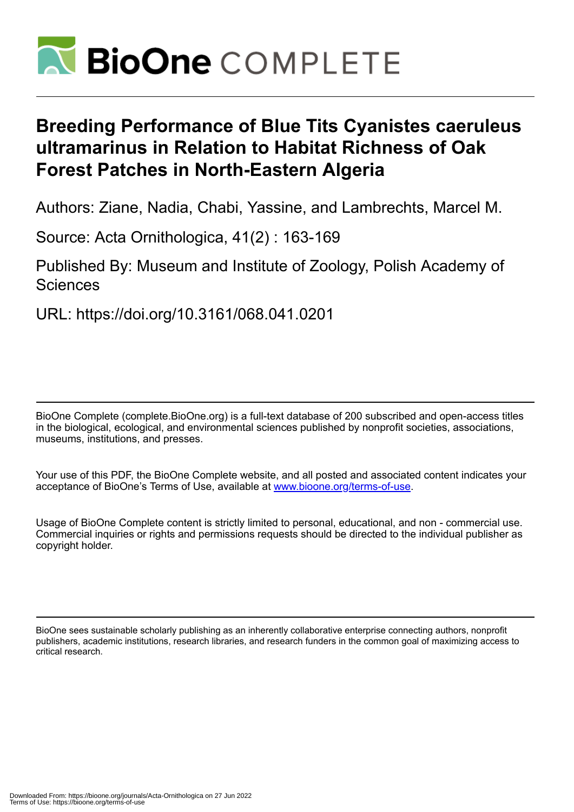

# **Breeding Performance of Blue Tits Cyanistes caeruleus ultramarinus in Relation to Habitat Richness of Oak Forest Patches in North-Eastern Algeria**

Authors: Ziane, Nadia, Chabi, Yassine, and Lambrechts, Marcel M.

Source: Acta Ornithologica, 41(2) : 163-169

Published By: Museum and Institute of Zoology, Polish Academy of **Sciences** 

URL: https://doi.org/10.3161/068.041.0201

BioOne Complete (complete.BioOne.org) is a full-text database of 200 subscribed and open-access titles in the biological, ecological, and environmental sciences published by nonprofit societies, associations, museums, institutions, and presses.

Your use of this PDF, the BioOne Complete website, and all posted and associated content indicates your acceptance of BioOne's Terms of Use, available at www.bioone.org/terms-of-use.

Usage of BioOne Complete content is strictly limited to personal, educational, and non - commercial use. Commercial inquiries or rights and permissions requests should be directed to the individual publisher as copyright holder.

BioOne sees sustainable scholarly publishing as an inherently collaborative enterprise connecting authors, nonprofit publishers, academic institutions, research libraries, and research funders in the common goal of maximizing access to critical research.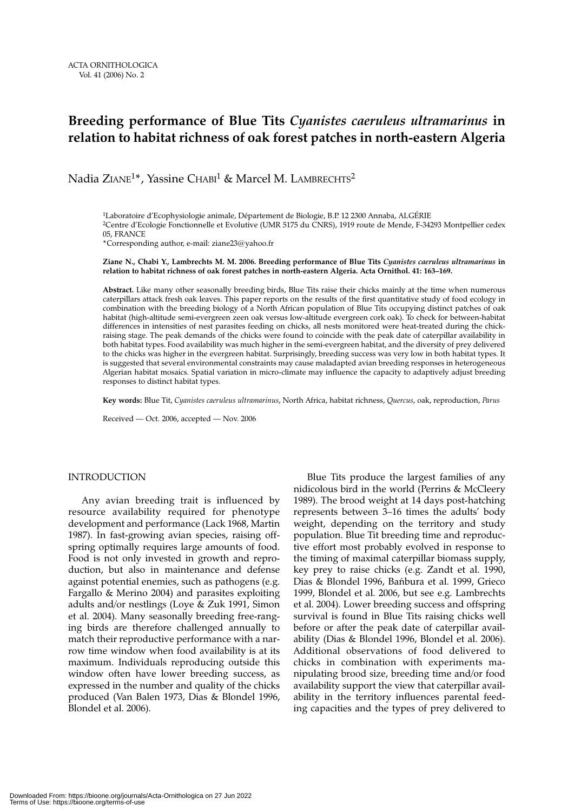# **Breeding performance of Blue Tits** *Cyanistes caeruleus ultramarinus* **in relation to habitat richness of oak forest patches in north-eastern Algeria**

Nadia ZIANE<sup>1\*</sup>, Yassine CHABI<sup>1</sup> & Marcel M. LAMBRECHTS<sup>2</sup>

<sup>1</sup>Laboratoire d'Ecophysiologie animale, Département de Biologie, B.P. 12 2300 Annaba, ALGÉRIE 2Centre d'Ecologie Fonctionnelle et Evolutive (UMR 5175 du CNRS), 1919 route de Mende, F-34293 Montpellier cedex 05, FRANCE

\*Corresponding author, e-mail: ziane23@yahoo.fr

**Ziane N., Chabi Y., Lambrechts M. M. 2006. Breeding performance of Blue Tits** *Cyanistes caeruleus ultramarinus* **in relation to habitat richness of oak forest patches in north-eastern Algeria. Acta Ornithol. 41: 163–169.**

**Abstract.** Like many other seasonally breeding birds, Blue Tits raise their chicks mainly at the time when numerous caterpillars attack fresh oak leaves. This paper reports on the results of the first quantitative study of food ecology in combination with the breeding biology of a North African population of Blue Tits occupying distinct patches of oak habitat (high-altitude semi-evergreen zeen oak versus low-altitude evergreen cork oak). To check for between-habitat differences in intensities of nest parasites feeding on chicks, all nests monitored were heat-treated during the chickraising stage. The peak demands of the chicks were found to coincide with the peak date of caterpillar availability in both habitat types. Food availability was much higher in the semi-evergreen habitat, and the diversity of prey delivered to the chicks was higher in the evergreen habitat. Surprisingly, breeding success was very low in both habitat types. It is suggested that several environmental constraints may cause maladapted avian breeding responses in heterogeneous Algerian habitat mosaics. Spatial variation in micro-climate may influence the capacity to adaptively adjust breeding responses to distinct habitat types.

**Key words:** Blue Tit, *Cyanistes caeruleus ultramarinus*, North Africa, habitat richness, *Quercus*, oak, reproduction, *Parus*

Received — Oct. 2006, accepted — Nov. 2006

# INTRODUCTION

Any avian breeding trait is influenced by resource availability required for phenotype development and performance (Lack 1968, Martin 1987). In fast-growing avian species, raising offspring optimally requires large amounts of food. Food is not only invested in growth and reproduction, but also in maintenance and defense against potential enemies, such as pathogens (e.g. Fargallo & Merino 2004) and parasites exploiting adults and/or nestlings (Loye & Zuk 1991, Simon et al. 2004). Many seasonally breeding free-ranging birds are therefore challenged annually to match their reproductive performance with a narrow time window when food availability is at its maximum. Individuals reproducing outside this window often have lower breeding success, as expressed in the number and quality of the chicks produced (Van Balen 1973, Dias & Blondel 1996, Blondel et al. 2006).

Blue Tits produce the largest families of any nidicolous bird in the world (Perrins & McCleery 1989). The brood weight at 14 days post-hatching represents between 3–16 times the adults' body weight, depending on the territory and study population. Blue Tit breeding time and reproductive effort most probably evolved in response to the timing of maximal caterpillar biomass supply, key prey to raise chicks (e.g. Zandt et al. 1990, Dias & Blondel 1996, Bańbura et al. 1999, Grieco 1999, Blondel et al. 2006, but see e.g. Lambrechts et al. 2004). Lower breeding success and offspring survival is found in Blue Tits raising chicks well before or after the peak date of caterpillar availability (Dias & Blondel 1996, Blondel et al. 2006). Additional observations of food delivered to chicks in combination with experiments manipulating brood size, breeding time and/or food availability support the view that caterpillar availability in the territory influences parental feeding capacities and the types of prey delivered to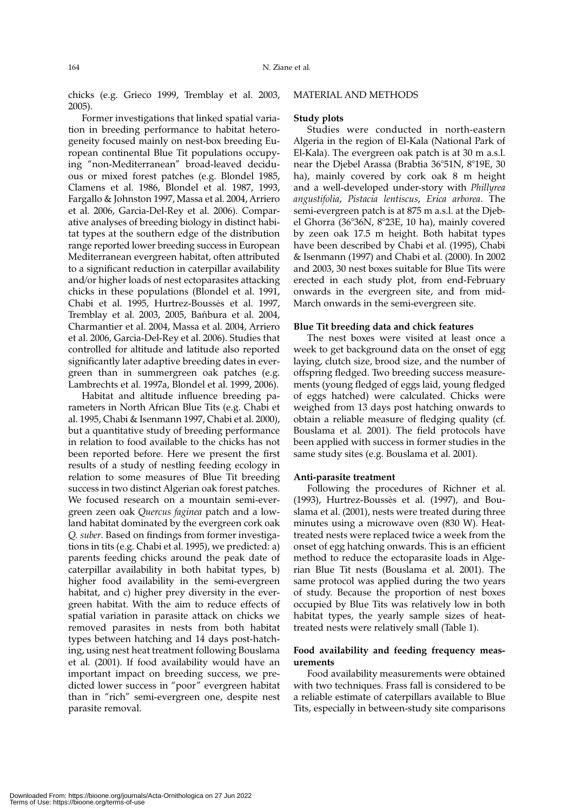chicks (e.g. Grieco 1999, Tremblay et al. 2003, 2005).

Former investigations that linked spatial variation in breeding performance to habitat heterogeneity focused mainly on nest-box breeding European continental Blue Tit populations occupying "non-Mediterranean" broad-leaved deciduous or mixed forest patches (e.g. Blondel 1985, Clamens et al. 1986, Blondel et al. 1987, 1993, Fargallo & Johnston 1997, Massa et al. 2004, Arriero et al. 2006, Garcia-Del-Rey et al. 2006). Comparative analyses of breeding biology in distinct habitat types at the southern edge of the distribution range reported lower breeding success in European Mediterranean evergreen habitat, often attributed to a significant reduction in caterpillar availability and/or higher loads of nest ectoparasites attacking chicks in these populations (Blondel et al. 1991, Chabi et al. 1995, Hurtrez-Boussès et al. 1997, Tremblay et al. 2003, 2005, Bańbura et al. 2004, Charmantier et al. 2004, Massa et al. 2004, Arriero et al. 2006, Garcia-Del-Rey et al. 2006). Studies that controlled for altitude and latitude also reported significantly later adaptive breeding dates in evergreen than in summergreen oak patches (e.g. Lambrechts et al. 1997a, Blondel et al. 1999, 2006).

Habitat and altitude influence breeding parameters in North African Blue Tits (e.g. Chabi et al. 1995, Chabi & Isenmann 1997, Chabi et al. 2000), but a quantitative study of breeding performance in relation to food available to the chicks has not been reported before. Here we present the first results of a study of nestling feeding ecology in relation to some measures of Blue Tit breeding success in two distinct Algerian oak forest patches. We focused research on a mountain semi-evergreen zeen oak *Quercus faginea* patch and a lowland habitat dominated by the evergreen cork oak *Q. suber*. Based on findings from former investigations in tits (e.g. Chabi et al. 1995), we predicted: a) parents feeding chicks around the peak date of caterpillar availability in both habitat types, b) higher food availability in the semi-evergreen habitat, and c) higher prey diversity in the evergreen habitat. With the aim to reduce effects of spatial variation in parasite attack on chicks we removed parasites in nests from both habitat types between hatching and 14 days post-hatching, using nest heat treatment following Bouslama et al. (2001). If food availability would have an important impact on breeding success, we predicted lower success in "poor" evergreen habitat than in "rich" semi-evergreen one, despite nest parasite removal.

#### MATERIAL AND METHODS

#### **Study plots**

Studies were conducted in north-eastern Algeria in the region of El-Kala (National Park of El-Kala). The evergreen oak patch is at 30 m a.s.l. near the Djebel Arassa (Brabtia 36°51N, 8°19E, 30 ha), mainly covered by cork oak 8 m height and a well-developed under-story with *Phillyrea angustifolia*, *Pistacia lentiscus*, *Erica arborea*. The semi-evergreen patch is at 875 m a.s.l. at the Djebel Ghorra (36°36N, 8°23E, 10 ha), mainly covered by zeen oak 17.5 m height. Both habitat types have been described by Chabi et al. (1995), Chabi & Isenmann (1997) and Chabi et al. (2000). In 2002 and 2003, 30 nest boxes suitable for Blue Tits were erected in each study plot, from end-February onwards in the evergreen site, and from mid-March onwards in the semi-evergreen site.

#### **Blue Tit breeding data and chick features**

The nest boxes were visited at least once a week to get background data on the onset of egg laying, clutch size, brood size, and the number of offspring fledged. Two breeding success measurements (young fledged of eggs laid, young fledged of eggs hatched) were calculated. Chicks were weighed from 13 days post hatching onwards to obtain a reliable measure of fledging quality (cf. Bouslama et al. 2001). The field protocols have been applied with success in former studies in the same study sites (e.g. Bouslama et al. 2001).

#### **Anti-parasite treatment**

Following the procedures of Richner et al. (1993), Hurtrez-Boussès et al. (1997), and Bouslama et al. (2001), nests were treated during three minutes using a microwave oven (830 W). Heattreated nests were replaced twice a week from the onset of egg hatching onwards. This is an efficient method to reduce the ectoparasite loads in Algerian Blue Tit nests (Bouslama et al. 2001). The same protocol was applied during the two years of study. Because the proportion of nest boxes occupied by Blue Tits was relatively low in both habitat types, the yearly sample sizes of heattreated nests were relatively small (Table 1).

# **Food availability and feeding frequency measurements**

Food availability measurements were obtained with two techniques. Frass fall is considered to be a reliable estimate of caterpillars available to Blue Tits, especially in between-study site comparisons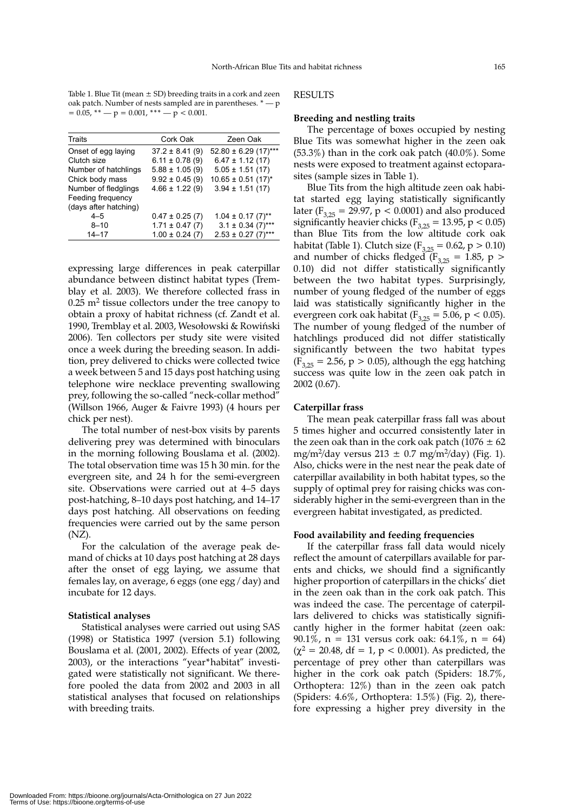Table 1. Blue Tit (mean  $\pm$  SD) breeding traits in a cork and zeen oak patch. Number of nests sampled are in parentheses.  $^*$  — p  $= 0.05$ , \*\*  $- p = 0.001$ , \*\*\*  $- p < 0.001$ .

| Traits                | Cork Oak            | Zeen Oak                           |
|-----------------------|---------------------|------------------------------------|
| Onset of egg laying   | $37.2 \pm 8.41(9)$  | $52.80 \pm 6.29$ (17)***           |
| Clutch size           | $6.11 \pm 0.78(9)$  | $6.47 \pm 1.12(17)$                |
| Number of hatchlings  | $5.88 \pm 1.05(9)$  | $5.05 \pm 1.51(17)$                |
| Chick body mass       | $9.92 \pm 0.45(9)$  | $10.65 \pm 0.51$ (17) <sup>*</sup> |
| Number of fledglings  | $4.66 \pm 1.22(9)$  | $3.94 \pm 1.51(17)$                |
| Feeding frequency     |                     |                                    |
| (days after hatching) |                     |                                    |
| $4 - 5$               | $0.47 \pm 0.25$ (7) | $1.04 \pm 0.17$ (7) <sup>**</sup>  |
| $8 - 10$              | $1.71 \pm 0.47(7)$  | $3.1 \pm 0.34$ (7)***              |
| $14 - 17$             | $1.00 \pm 0.24$ (7) | $2.53 \pm 0.27$ (7)***             |
|                       |                     |                                    |

expressing large differences in peak caterpillar abundance between distinct habitat types (Tremblay et al. 2003). We therefore collected frass in  $0.25$  m<sup>2</sup> tissue collectors under the tree canopy to obtain a proxy of habitat richness (cf. Zandt et al. 1990, Tremblay et al. 2003, Wesołowski & Rowiński 2006). Ten collectors per study site were visited once a week during the breeding season. In addition, prey delivered to chicks were collected twice a week between 5 and 15 days post hatching using telephone wire necklace preventing swallowing prey, following the so-called "neck-collar method" (Willson 1966, Auger & Faivre 1993) (4 hours per chick per nest).

The total number of nest-box visits by parents delivering prey was determined with binoculars in the morning following Bouslama et al. (2002). The total observation time was 15 h 30 min. for the evergreen site, and 24 h for the semi-evergreen site. Observations were carried out at 4–5 days post-hatching, 8–10 days post hatching, and 14–17 days post hatching. All observations on feeding frequencies were carried out by the same person (NZ).

For the calculation of the average peak demand of chicks at 10 days post hatching at 28 days after the onset of egg laying, we assume that females lay, on average, 6 eggs (one egg / day) and incubate for 12 days.

#### **Statistical analyses**

Statistical analyses were carried out using SAS (1998) or Statistica 1997 (version 5.1) following Bouslama et al. (2001, 2002). Effects of year (2002, 2003), or the interactions "year\*habitat" investigated were statistically not significant. We therefore pooled the data from 2002 and 2003 in all statistical analyses that focused on relationships with breeding traits.

RESULTS

#### **Breeding and nestling traits**

The percentage of boxes occupied by nesting Blue Tits was somewhat higher in the zeen oak (53.3%) than in the cork oak patch (40.0%). Some nests were exposed to treatment against ectoparasites (sample sizes in Table 1).

Blue Tits from the high altitude zeen oak habitat started egg laying statistically significantly later ( $F_{3,25}$  = 29.97, p < 0.0001) and also produced significantly heavier chicks ( $F_{3,25} = 13.95$ , p < 0.05) than Blue Tits from the low altitude cork oak habitat (Table 1). Clutch size ( $F_{3,25} = 0.62$ , p > 0.10) and number of chicks fledged ( $F_{3,25} = 1.85$ , p > 0.10) did not differ statistically significantly between the two habitat types. Surprisingly, number of young fledged of the number of eggs laid was statistically significantly higher in the evergreen cork oak habitat ( $F_{3,25} = 5.06$ , p < 0.05). The number of young fledged of the number of hatchlings produced did not differ statistically significantly between the two habitat types  $(F_{3,25} = 2.56, p > 0.05)$ , although the egg hatching success was quite low in the zeen oak patch in 2002 (0.67).

### **Caterpillar frass**

The mean peak caterpillar frass fall was about 5 times higher and occurred consistently later in the zeen oak than in the cork oak patch (1076  $\pm$  62 mg/m<sup>2</sup>/day versus  $213 \pm 0.7$  mg/m<sup>2</sup>/day) (Fig. 1). Also, chicks were in the nest near the peak date of caterpillar availability in both habitat types, so the supply of optimal prey for raising chicks was considerably higher in the semi-evergreen than in the evergreen habitat investigated, as predicted.

#### **Food availability and feeding frequencies**

If the caterpillar frass fall data would nicely reflect the amount of caterpillars available for parents and chicks, we should find a significantly higher proportion of caterpillars in the chicks' diet in the zeen oak than in the cork oak patch. This was indeed the case. The percentage of caterpillars delivered to chicks was statistically significantly higher in the former habitat (zeen oak: 90.1%,  $n = 131$  versus cork oak: 64.1%,  $n = 64$ )  $(\chi^2 = 20.48, df = 1, p < 0.0001)$ . As predicted, the percentage of prey other than caterpillars was higher in the cork oak patch (Spiders: 18.7%, Orthoptera: 12%) than in the zeen oak patch (Spiders: 4.6%, Orthoptera: 1.5%) (Fig. 2), therefore expressing a higher prey diversity in the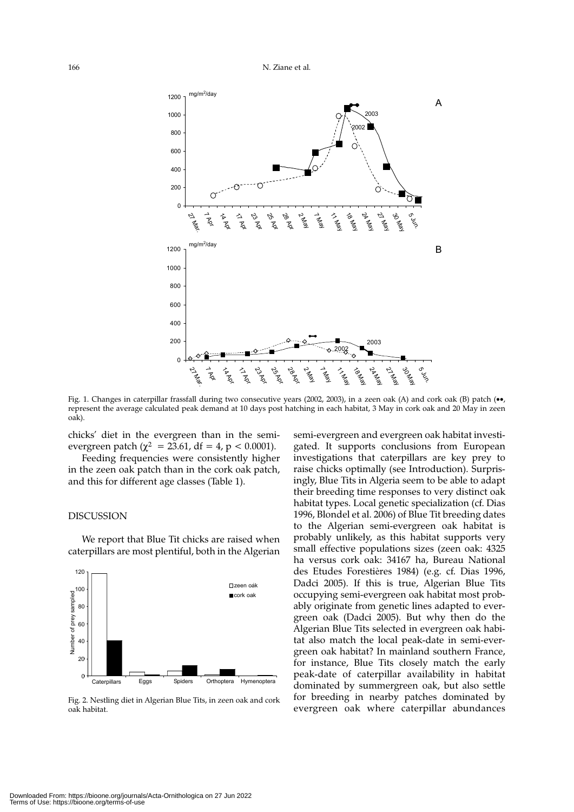

Fig. 1. Changes in caterpillar frassfall during two consecutive years (2002, 2003), in a zeen oak (A) and cork oak (B) patch (••, represent the average calculated peak demand at 10 days post hatching in each habitat, 3 May in cork oak and 20 May in zeen oak).

chicks' diet in the evergreen than in the semievergreen patch ( $\chi^2$  = 23.61, df = 4, p < 0.0001).

Feeding frequencies were consistently higher in the zeen oak patch than in the cork oak patch, and this for different age classes (Table 1).

#### DISCUSSION

We report that Blue Tit chicks are raised when caterpillars are most plentiful, both in the Algerian



Fig. 2. Nestling diet in Algerian Blue Tits, in zeen oak and cork oak habitat.

semi-evergreen and evergreen oak habitat investigated. It supports conclusions from European investigations that caterpillars are key prey to raise chicks optimally (see Introduction). Surprisingly, Blue Tits in Algeria seem to be able to adapt their breeding time responses to very distinct oak habitat types. Local genetic specialization (cf. Dias 1996, Blondel et al. 2006) of Blue Tit breeding dates to the Algerian semi-evergreen oak habitat is probably unlikely, as this habitat supports very small effective populations sizes (zeen oak: 4325 ha versus cork oak: 34167 ha, Bureau National des Etudes Forestières 1984) (e.g. cf. Dias 1996, Dadci 2005). If this is true, Algerian Blue Tits occupying semi-evergreen oak habitat most probably originate from genetic lines adapted to evergreen oak (Dadci 2005). But why then do the Algerian Blue Tits selected in evergreen oak habitat also match the local peak-date in semi-evergreen oak habitat? In mainland southern France, for instance, Blue Tits closely match the early peak-date of caterpillar availability in habitat dominated by summergreen oak, but also settle for breeding in nearby patches dominated by evergreen oak where caterpillar abundances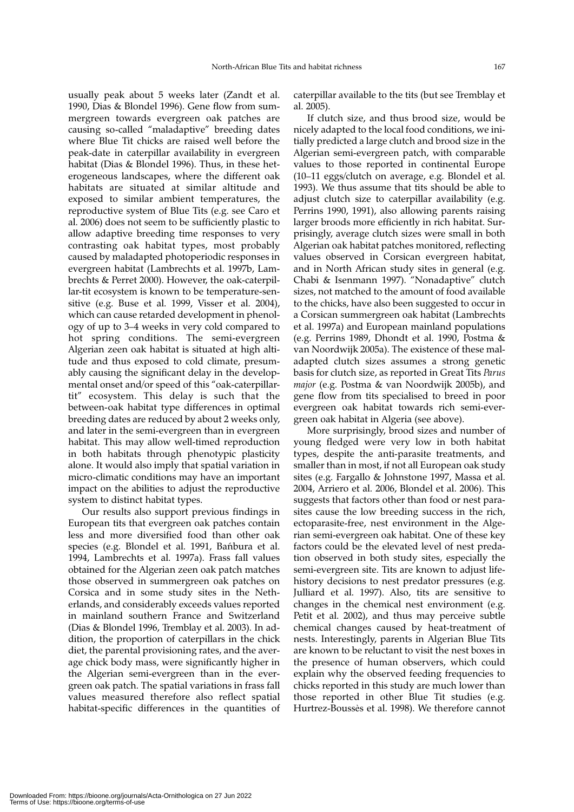usually peak about 5 weeks later (Zandt et al. 1990, Dias & Blondel 1996). Gene flow from summergreen towards evergreen oak patches are causing so-called "maladaptive" breeding dates where Blue Tit chicks are raised well before the peak-date in caterpillar availability in evergreen habitat (Dias & Blondel 1996). Thus, in these heterogeneous landscapes, where the different oak habitats are situated at similar altitude and exposed to similar ambient temperatures, the reproductive system of Blue Tits (e.g. see Caro et al. 2006) does not seem to be sufficiently plastic to allow adaptive breeding time responses to very contrasting oak habitat types, most probably caused by maladapted photoperiodic responses in evergreen habitat (Lambrechts et al. 1997b, Lambrechts & Perret 2000). However, the oak-caterpillar-tit ecosystem is known to be temperature-sensitive (e.g. Buse et al. 1999, Visser et al. 2004), which can cause retarded development in phenology of up to 3–4 weeks in very cold compared to hot spring conditions. The semi-evergreen Algerian zeen oak habitat is situated at high altitude and thus exposed to cold climate, presumably causing the significant delay in the developmental onset and/or speed of this "oak-caterpillartit" ecosystem. This delay is such that the between-oak habitat type differences in optimal breeding dates are reduced by about 2 weeks only, and later in the semi-evergreen than in evergreen habitat. This may allow well-timed reproduction in both habitats through phenotypic plasticity alone. It would also imply that spatial variation in micro-climatic conditions may have an important impact on the abilities to adjust the reproductive system to distinct habitat types.

Our results also support previous findings in European tits that evergreen oak patches contain less and more diversified food than other oak species (e.g. Blondel et al. 1991, Bańbura et al. 1994, Lambrechts et al. 1997a). Frass fall values obtained for the Algerian zeen oak patch matches those observed in summergreen oak patches on Corsica and in some study sites in the Netherlands, and considerably exceeds values reported in mainland southern France and Switzerland (Dias & Blondel 1996, Tremblay et al. 2003). In addition, the proportion of caterpillars in the chick diet, the parental provisioning rates, and the average chick body mass, were significantly higher in the Algerian semi-evergreen than in the evergreen oak patch. The spatial variations in frass fall values measured therefore also reflect spatial habitat-specific differences in the quantities of caterpillar available to the tits (but see Tremblay et al. 2005).

If clutch size, and thus brood size, would be nicely adapted to the local food conditions, we initially predicted a large clutch and brood size in the Algerian semi-evergreen patch, with comparable values to those reported in continental Europe (10–11 eggs/clutch on average, e.g. Blondel et al. 1993). We thus assume that tits should be able to adjust clutch size to caterpillar availability (e.g. Perrins 1990, 1991), also allowing parents raising larger broods more efficiently in rich habitat. Surprisingly, average clutch sizes were small in both Algerian oak habitat patches monitored, reflecting values observed in Corsican evergreen habitat, and in North African study sites in general (e.g. Chabi & Isenmann 1997). "Nonadaptive" clutch sizes, not matched to the amount of food available to the chicks, have also been suggested to occur in a Corsican summergreen oak habitat (Lambrechts et al. 1997a) and European mainland populations (e.g. Perrins 1989, Dhondt et al. 1990, Postma & van Noordwijk 2005a). The existence of these maladapted clutch sizes assumes a strong genetic basis for clutch size, as reported in Great Tits *Parus major* (e.g. Postma & van Noordwijk 2005b), and gene flow from tits specialised to breed in poor evergreen oak habitat towards rich semi-evergreen oak habitat in Algeria (see above).

More surprisingly, brood sizes and number of young fledged were very low in both habitat types, despite the anti-parasite treatments, and smaller than in most, if not all European oak study sites (e.g. Fargallo & Johnstone 1997, Massa et al. 2004, Arriero et al. 2006, Blondel et al. 2006). This suggests that factors other than food or nest parasites cause the low breeding success in the rich, ectoparasite-free, nest environment in the Algerian semi-evergreen oak habitat. One of these key factors could be the elevated level of nest predation observed in both study sites, especially the semi-evergreen site. Tits are known to adjust lifehistory decisions to nest predator pressures (e.g. Julliard et al. 1997). Also, tits are sensitive to changes in the chemical nest environment (e.g. Petit et al. 2002), and thus may perceive subtle chemical changes caused by heat-treatment of nests. Interestingly, parents in Algerian Blue Tits are known to be reluctant to visit the nest boxes in the presence of human observers, which could explain why the observed feeding frequencies to chicks reported in this study are much lower than those reported in other Blue Tit studies (e.g. Hurtrez-Boussès et al. 1998). We therefore cannot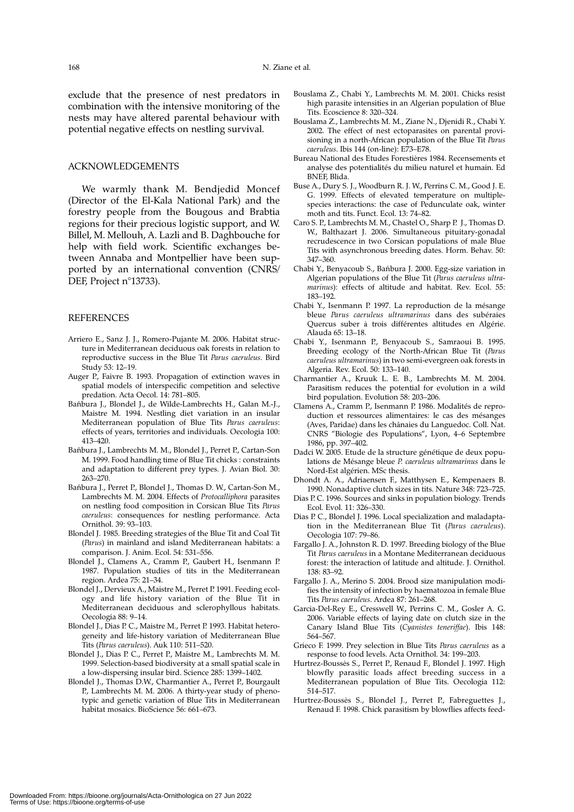exclude that the presence of nest predators in combination with the intensive monitoring of the nests may have altered parental behaviour with potential negative effects on nestling survival.

# ACKNOWLEDGEMENTS

We warmly thank M. Bendjedid Moncef (Director of the El-Kala National Park) and the forestry people from the Bougous and Brabtia regions for their precious logistic support, and W. Billel, M. Mellouh, A. Lazli and B. Daghbouche for help with field work. Scientific exchanges between Annaba and Montpellier have been supported by an international convention (CNRS/ DEF, Project n°13733).

#### **REFERENCES**

- Arriero E., Sanz J. J., Romero-Pujante M. 2006. Habitat structure in Mediterranean deciduous oak forests in relation to reproductive success in the Blue Tit *Parus caeruleus*. Bird Study 53: 12–19.
- Auger P., Faivre B. 1993. Propagation of extinction waves in spatial models of interspecific competition and selective predation. Acta Oecol. 14: 781–805.
- Bańbura J., Blondel J., de Wilde-Lambrechts H., Galan M.-J., Maistre M. 1994. Nestling diet variation in an insular Mediterranean population of Blue Tits *Parus caeruleus*: effects of years, territories and individuals. Oecologia 100: 413–420.
- Bańbura J., Lambrechts M. M., Blondel J., Perret P., Cartan-Son M. 1999. Food handling time of Blue Tit chicks : constraints and adaptation to different prey types. J. Avian Biol. 30: 263–270.
- Bańbura J., Perret P., Blondel J., Thomas D. W., Cartan-Son M., Lambrechts M. M. 2004. Effects of *Protocalliphora* parasites on nestling food composition in Corsican Blue Tits *Parus caeruleus*: consequences for nestling performance. Acta Ornithol. 39: 93–103.
- Blondel J. 1985. Breeding strategies of the Blue Tit and Coal Tit (*Parus*) in mainland and island Mediterranean habitats: a comparison. J. Anim. Ecol. 54: 531–556.
- Blondel J., Clamens A., Cramm P., Gaubert H., Isenmann P. 1987. Population studies of tits in the Mediterranean region. Ardea 75: 21–34.
- Blondel J., Dervieux A., Maistre M., Perret P. 1991. Feeding ecology and life history variation of the Blue Tit in Mediterranean deciduous and sclerophyllous habitats. Oecologia 88: 9–14.
- Blondel J., Dias P. C., Maistre M., Perret P. 1993. Habitat heterogeneity and life-history variation of Mediterranean Blue Tits (*Parus caeruleus*). Auk 110: 511–520.
- Blondel J., Dias P. C., Perret P., Maistre M., Lambrechts M. M. 1999. Selection-based biodiversity at a small spatial scale in a low-dispersing insular bird. Science 285: 1399–1402.
- Blondel J., Thomas D.W., Charmantier A., Perret P., Bourgault P., Lambrechts M. M. 2006. A thirty-year study of phenotypic and genetic variation of Blue Tits in Mediterranean habitat mosaics. BioScience 56: 661–673.
- Bouslama Z., Chabi Y., Lambrechts M. M. 2001. Chicks resist high parasite intensities in an Algerian population of Blue Tits. Ecoscience 8: 320–324.
- Bouslama Z., Lambrechts M. M., Ziane N., Djenidi R., Chabi Y. 2002. The effect of nest ectoparasites on parental provisioning in a north-African population of the Blue Tit *Parus caeruleus*. Ibis 144 (on-line): E73–E78.
- Bureau National des Etudes Forestières 1984. Recensements et analyse des potentialités du milieu naturel et humain. Ed BNEF, Blida.
- Buse A., Dury S. J., Woodburn R. J. W., Perrins C. M., Good J. E. G. 1999. Effects of elevated temperature on multiplespecies interactions: the case of Pedunculate oak, winter moth and tits. Funct. Ecol. 13: 74–82.
- Caro S. P., Lambrechts M. M., Chastel O., Sharp P. J., Thomas D. W., Balthazart J. 2006. Simultaneous pituitary-gonadal recrudescence in two Corsican populations of male Blue Tits with asynchronous breeding dates. Horm. Behav. 50: 347–360.
- Chabi Y., Benyacoub S., Bańbura J. 2000. Egg-size variation in Algerian populations of the Blue Tit (*Parus caeruleus ultramarinus*): effects of altitude and habitat. Rev. Ecol. 55: 183–192.
- Chabi Y., Isenmann P. 1997. La reproduction de la mésange bleue *Parus caeruleus ultramarinus* dans des subéraies Quercus suber à trois différentes altitudes en Algérie. Alauda 65: 13–18.
- Chabi Y., Isenmann P., Benyacoub S., Samraoui B. 1995. Breeding ecology of the North-African Blue Tit (*Parus caeruleus ultramarinus*) in two semi-evergreen oak forests in Algeria. Rev. Ecol. 50: 133–140.
- Charmantier A., Kruuk L. E. B., Lambrechts M. M. 2004. Parasitism reduces the potential for evolution in a wild bird population. Evolution 58: 203–206.
- Clamens A., Cramm P., Isenmann P. 1986. Modalités de reproduction et ressources alimentaires: le cas des mésanges (Aves, Paridae) dans les chânaies du Languedoc. Coll. Nat. CNRS "Biologie des Populations", Lyon, 4–6 Septembre 1986, pp. 397–402.
- Dadci W. 2005. Etude de la structure génétique de deux populations de Mésange bleue *P. caeruleus ultramarinus* dans le Nord-Est algérien. MSc thesis.
- Dhondt A. A., Adriaensen F., Matthysen E., Kempenaers B. 1990. Nonadaptive clutch sizes in tits. Nature 348: 723–725.
- Dias P. C. 1996. Sources and sinks in population biology. Trends Ecol. Evol. 11: 326–330.
- Dias P. C., Blondel J. 1996. Local specialization and maladaptation in the Mediterranean Blue Tit (*Parus caeruleus*). Oecologia 107: 79–86.
- Fargallo J. A., Johnston R. D. 1997. Breeding biology of the Blue Tit *Parus caeruleus* in a Montane Mediterranean deciduous forest: the interaction of latitude and altitude. J. Ornithol. 138: 83–92.
- Fargallo J. A., Merino S. 2004. Brood size manipulation modifies the intensity of infection by haematozoa in female Blue
- Tits *Parus caeruleus*. Ardea 87: 261–268. Garcia-Del-Rey E., Cresswell W., Perrins C. M., Gosler A. G. 2006. Variable effects of laying date on clutch size in the Canary Island Blue Tits (*Cyanistes teneriffae*). Ibis 148: 564–567.
- Grieco F. 1999. Prey selection in Blue Tits *Parus caeruleus* as a response to food levels. Acta Ornithol. 34: 199–203.
- Hurtrez-Boussès S., Perret P., Renaud F., Blondel J. 1997. High blowfly parasitic loads affect breeding success in a Mediterranean population of Blue Tits. Oecologia 112: 514–517.
- Hurtrez-Boussès S., Blondel J., Perret P., Fabreguettes J., Renaud F. 1998. Chick parasitism by blowflies affects feed-